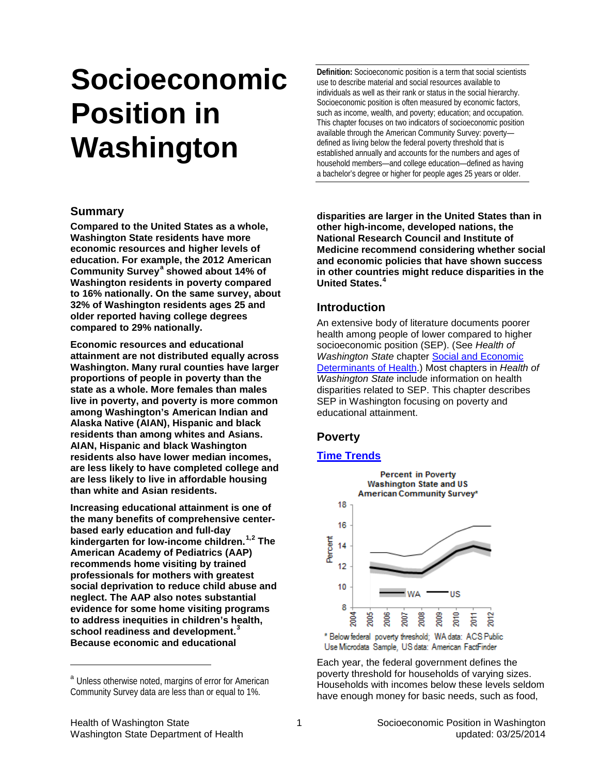# **Socioeconomic Position in Washington**

## **Summary**

<span id="page-0-1"></span>**Compared to the United States as a whole, Washington State residents have more economic resources and higher levels of education. For example, the 2012 American Community Survey[a](#page-0-0) showed about 14% of Washington residents in poverty compared to 16% nationally. On the same survey, about 32% of Washington residents ages 25 and older reported having college degrees compared to 29% nationally.**

**Economic resources and educational attainment are not distributed equally across Washington. Many rural counties have larger proportions of people in poverty than the state as a whole. More females than males live in poverty, and poverty is more common among Washington's American Indian and Alaska Native (AIAN), Hispanic and black residents than among whites and Asians. AIAN, Hispanic and black Washington residents also have lower median incomes, are less likely to have completed college and are less likely to live in affordable housing than white and Asian residents.** 

**Increasing educational attainment is one of the many benefits of comprehensive centerbased early education and full-day kindergarten for low-income children.[1](#page-7-0),[2](#page-7-1) The American Academy of Pediatrics (AAP) recommends home visiting by trained professionals for mothers with greatest social deprivation to reduce child abuse and neglect. The AAP also notes substantial evidence for some home visiting programs to address inequities in children's health, school readiness and development. [3](#page-7-2) Because economic and educational** 

**Definition:** Socioeconomic position is a term that social scientists use to describe material and social resources available to individuals as well as their rank or status in the social hierarchy. Socioeconomic position is often measured by economic factors, such as income, wealth, and poverty; education; and occupation. This chapter focuses on two indicators of socioeconomic position available through the American Community Survey: poverty defined as living below the federal poverty threshold that is established annually and accounts for the numbers and ages of household members—and college education—defined as having a bachelor's degree or higher for people ages 25 years or older.

**disparities are larger in the United States than in other high-income, developed nations, the National Research Council and Institute of Medicine recommend considering whether social and economic policies that have shown success in other countries might reduce disparities in the United States.[4](#page-7-3)**

# **Introduction**

An extensive body of literature documents poorer health among people of lower compared to higher socioeconomic position (SEP). (See *Health of Washington State* chapter Social [and Economic](http://www.doh.wa.gov/Portals/1/Documents/5500/Context-SED2013.pdf) [Determinants of Health.\)](http://www.doh.wa.gov/Portals/1/Documents/5500/Context-SED2013.pdf) Most chapters in *Health of Washington State* include information on health disparities related to SEP. This chapter describes SEP in Washington focusing on poverty and educational attainment.

## **Poverty**

## **[Time Trends](http://www.doh.wa.gov/Portals/1/Documents/5500/AppA.pdf)**



Use Microdata Sample, US data: American FactFinder

<span id="page-0-2"></span>Each year, the federal government defines the poverty threshold for households of varying sizes. Households with incomes below these levels seldom have enough money for basic needs, such as food,

-

<span id="page-0-0"></span>a Unless otherwise noted, margins of error for American Community Survey data are less than or equal to 1%.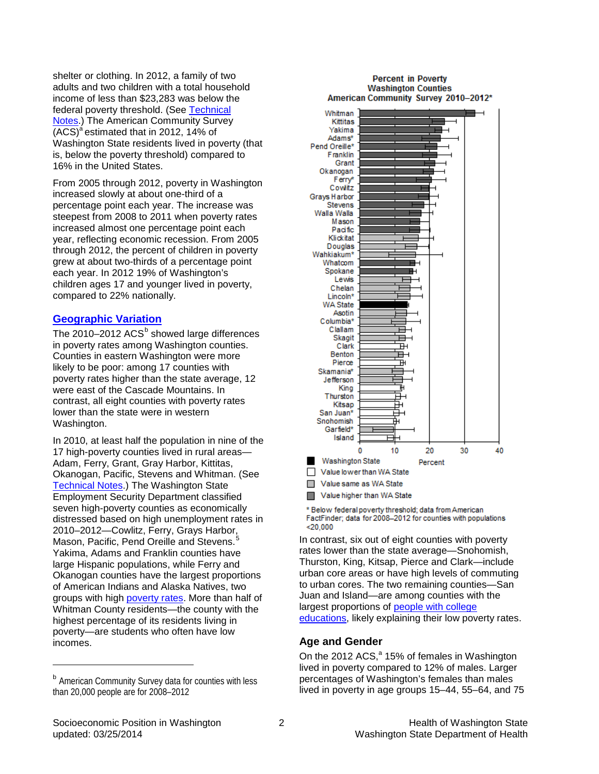shelter or clothing. In 2012, a family of two adults and two children with a total household income of less than \$23,283 was below the federal poverty threshold. (See [Technical](#page-6-0)  [Notes.](#page-6-0)) The American Community Survey  $(ACS)^a$  $(ACS)^a$  estimated that in 2012, 14% of Washington State residents lived in poverty (that is, below the poverty threshold) compared to 16% in the United States.

From 2005 through 2012, poverty in Washington increased slowly at about one-third of a percentage point each year. The increase was steepest from 2008 to 2011 when poverty rates increased almost one percentage point each year, reflecting economic recession. From 2005 through 2012, the percent of children in poverty grew at about two-thirds of a percentage point each year. In 2012 19% of Washington's children ages 17 and younger lived in poverty, compared to 22% nationally.

#### **[Geographic Variation](http://www.doh.wa.gov/Portals/1/Documents/5500/AppA.pdf)**

<span id="page-1-1"></span>The 2010–2012  $ACS^b$  $ACS^b$  showed large differences in poverty rates among Washington counties. Counties in eastern Washington were more likely to be poor: among 17 counties with poverty rates higher than the state average, 12 were east of the Cascade Mountains. In contrast, all eight counties with poverty rates lower than the state were in western Washington.

In 2010, at least half the population in nine of the 17 high-poverty counties lived in rural areas— Adam, Ferry, Grant, Gray Harbor, Kittitas, Okanogan, Pacific, Stevens and Whitman. (See [Technical Notes.](#page-6-1)) The Washington State Employment Security Department classified seven high-poverty counties as economically distressed based on high unemployment rates in 2010–2012—Cowlitz, Ferry, Grays Harbor, Mason, Pacific, Pend Oreille and Stevens.<sup>[5](#page-7-4)</sup> Yakima, Adams and Franklin counties have large Hispanic populations, while Ferry and Okanogan counties have the largest proportions of American Indians and Alaska Natives, two groups with high [poverty rates.](#page-2-0) More than half of Whitman County residents—the county with the highest percentage of its residents living in poverty—are students who often have low incomes.



Value higher than WA State

\* Below federal poverty threshold; data from American FactFinder; data for 2008-2012 for counties with populations  $< 20,000$ 

In contrast, six out of eight counties with poverty rates lower than the state average—Snohomish, Thurston, King, Kitsap, Pierce and Clark—include urban core areas or have high levels of commuting to urban cores. The two remaining counties—San Juan and Island—are among counties with the largest proportions of [people with college](#page-3-0)  [educations,](#page-3-0) likely explaining their low poverty rates.

#### **Age and Gender**

On the 2012 ACS,<sup>[a](#page-0-1)</sup> 15% of females in Washington lived in poverty compared to 12% of males. Larger percentages of Washington's females than males lived in poverty in age groups 15–44, 55–64, and 75

-

<span id="page-1-0"></span>**b** American Community Survey data for counties with less than 20,000 people are for 2008–2012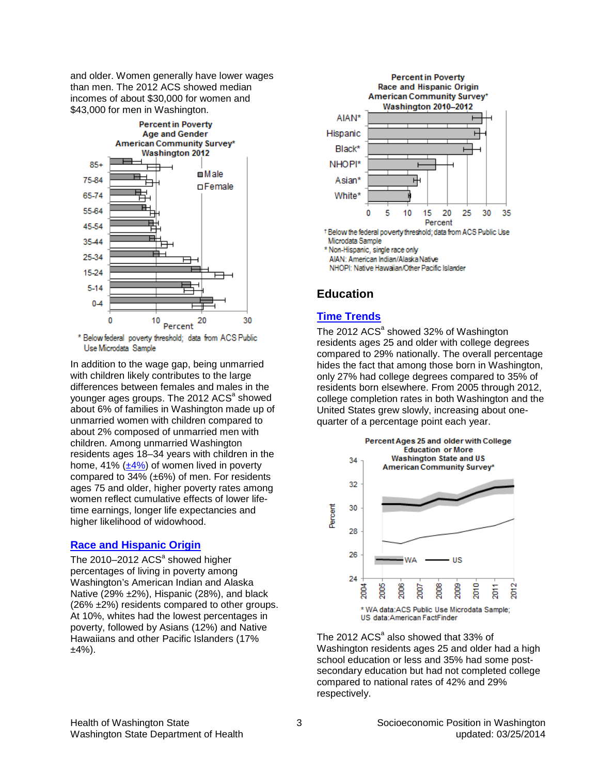and older. Women generally have lower wages than men. The 2012 ACS showed median incomes of about \$30,000 for women and \$43,000 for men in Washington.



\* Below federal poverty threshold; data from ACS Public Use Microdata Sample

In addition to the wage gap, being unmarried with children likely contributes to the large differences between females and males in the younger ages groups. The 2012 ACS<sup>a</sup> showed about 6% of families in Washington made up of unmarried women with children compared to about 2% composed of unmarried men with children. Among unmarried Washington residents ages 18–34 years with children in the home, 41%  $(\pm 4\%)$  of women lived in poverty compared to 34% (±6%) of men. For residents ages 75 and older, higher poverty rates among women reflect cumulative effects of lower lifetime earnings, longer life expectancies and higher likelihood of widowhood.

#### **[Race and Hispanic Origin](http://www.doh.wa.gov/Portals/1/Documents/5500/AppA.pdf)**

The  $2010-2012$  AC[S](#page-0-1)<sup>a</sup> showed higher percentages of living in poverty among Washington's American Indian and Alaska Native (29% ±2%), Hispanic (28%), and black (26% ±2%) residents compared to other groups. At 10%, whites had the lowest percentages in poverty, followed by Asians (12%) and Native Hawaiians and other Pacific Islanders (17%  $±4%$ ).

<span id="page-2-0"></span>

AIAN: American Indian/Alaska Native

NHOPI: Native Hawaiian/Other Pacific Islander

# **Education**

# **[Time Trends](http://www.doh.wa.gov/Portals/1/Documents/5500/AppA.pdf)**

The 2012  $ACS<sup>a</sup>$  showed 32% of Washington residents ages 25 and older with college degrees compared to 29% nationally. The overall percentage hides the fact that among those born in Washington, only 27% had college degrees compared to 35% of residents born elsewhere. From 2005 through 2012, college completion rates in both Washington and the United States grew slowly, increasing about onequarter of a percentage point each year.



The 2012  $ACS<sup>a</sup>$  also showed that 33% of Washington residents ages 25 and older had a high school education or less and 35% had some postsecondary education but had not completed college compared to national rates of 42% and 29% respectively.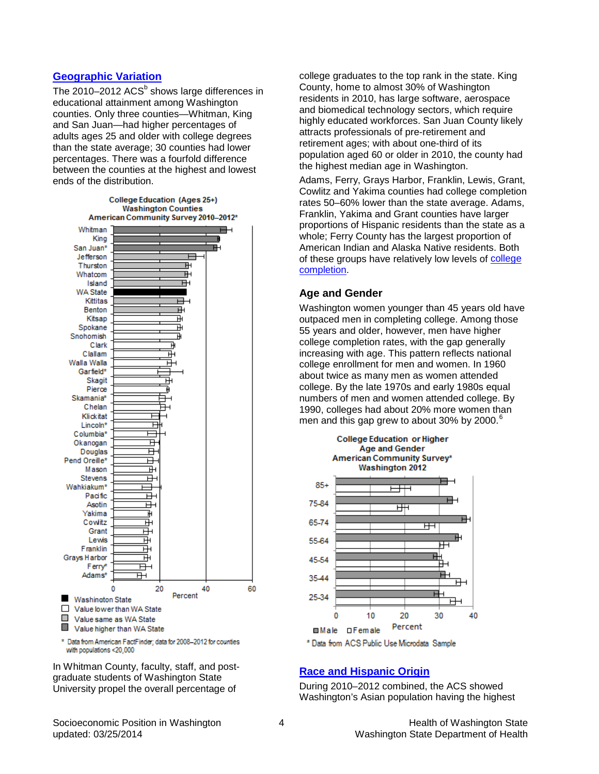### **[Geographic Variation](http://www.doh.wa.gov/Portals/1/Documents/5500/AppA.pdf)**

The 2010–2012  $ACS<sup>b</sup>$  $ACS<sup>b</sup>$  $ACS<sup>b</sup>$  shows large differences in educational attainment among Washington counties. Only three counties—Whitman, King and San Juan—had higher percentages of adults ages 25 and older with college degrees than the state average; 30 counties had lower percentages. There was a fourfold difference between the counties at the highest and lowest ends of the distribution.

<span id="page-3-0"></span>

\* Data from American FactFinder; data for 2008-2012 for counties with populations <20,000

In Whitman County, faculty, staff, and postgraduate students of Washington State University propel the overall percentage of

college graduates to the top rank in the state. King County, home to almost 30% of Washington residents in 2010, has large software, aerospace and biomedical technology sectors, which require highly educated workforces. San Juan County likely attracts professionals of pre-retirement and retirement ages; with about one-third of its population aged 60 or older in 2010, the county had the highest median age in Washington.

Adams, Ferry, Grays Harbor, Franklin, Lewis, Grant, Cowlitz and Yakima counties had college completion rates 50–60% lower than the state average. Adams, Franklin, Yakima and Grant counties have larger proportions of Hispanic residents than the state as a whole; Ferry County has the largest proportion of American Indian and Alaska Native residents. Both of these groups have relatively low levels of college [completion.](#page-4-0)

#### **Age and Gender**

Washington women younger than 45 years old have outpaced men in completing college. Among those 55 years and older, however, men have higher college completion rates, with the gap generally increasing with age. This pattern reflects national college enrollment for men and women. In 1960 about twice as many men as women attended college. By the late 1970s and early 1980s equal numbers of men and women attended college. By 1990, colleges had about 20% more women than men and this gap grew to about 30% by 2000. $^{\circ}$ 



#### **[Race and Hispanic Origin](http://www.doh.wa.gov/Portals/1/Documents/5500/AppA.pdf)**

During 2010–2012 combined, the ACS showed Washington's Asian population having the highest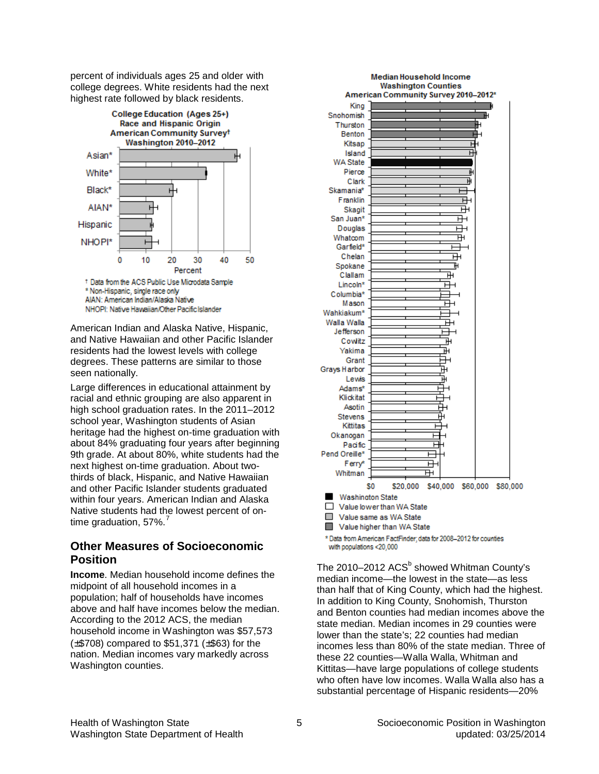percent of individuals ages 25 and older with college degrees. White residents had the next highest rate followed by black residents.



American Indian and Alaska Native, Hispanic, and Native Hawaiian and other Pacific Islander residents had the lowest levels with college degrees. These patterns are similar to those seen nationally.

Large differences in educational attainment by racial and ethnic grouping are also apparent in high school graduation rates. In the 2011–2012 school year, Washington students of Asian heritage had the highest on-time graduation with about 84% graduating four years after beginning 9th grade. At about 80%, white students had the next highest on-time graduation. About twothirds of black, Hispanic, and Native Hawaiian and other Pacific Islander students graduated within four years. American Indian and Alaska Native students had the lowest percent of on-time graduation, 5[7](#page-7-6)%.

# **Other Measures of Socioeconomic Position**

**Income**. Median household income defines the midpoint of all household incomes in a population; half of households have incomes above and half have incomes below the median. According to the 2012 ACS, the median household income in Washington was \$57,573 (±\$708) compared to \$51,371 (±\$63) for the nation. Median incomes vary markedly across Washington counties.

<span id="page-4-0"></span>

The 2010–2012  $ACS<sup>b</sup>$  $ACS<sup>b</sup>$  $ACS<sup>b</sup>$  showed Whitman County's median income—the lowest in the state—as less than half that of King County, which had the highest. In addition to King County, Snohomish, Thurston and Benton counties had median incomes above the state median. Median incomes in 29 counties were lower than the state's; 22 counties had median incomes less than 80% of the state median. Three of these 22 counties—Walla Walla, Whitman and Kittitas—have large populations of college students who often have low incomes. Walla Walla also has a substantial percentage of Hispanic residents—20%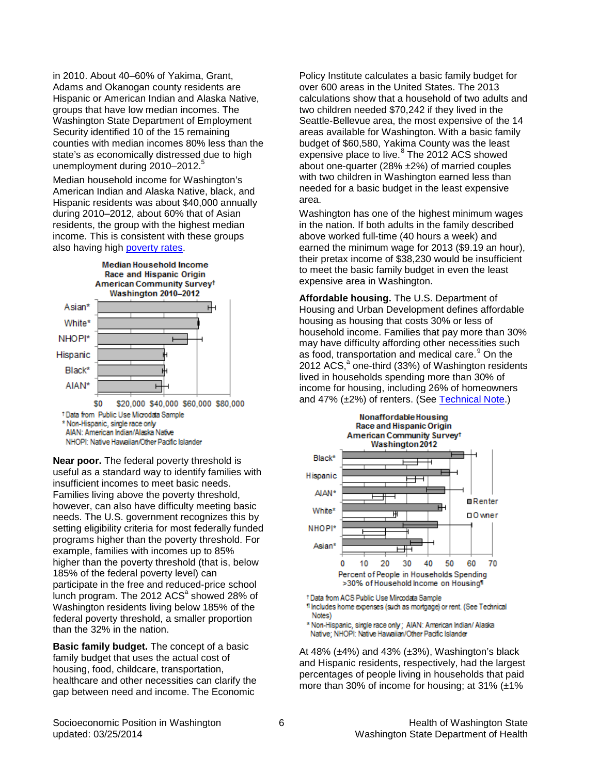in 2010. About 40–60% of Yakima, Grant, Adams and Okanogan county residents are Hispanic or American Indian and Alaska Native, groups that have low median incomes. The Washington State Department of Employment Security identified 10 of the 15 remaining counties with median incomes 80% less than the state's as economically distressed due to high unemployment during 2010–2012.<sup>[5](#page-7-10)</sup>

Median household income for Washington's American Indian and Alaska Native, black, and Hispanic residents was about \$40,000 annually during 2010–2012, about 60% that of Asian residents, the group with the highest median income. This is consistent with these groups also having high [poverty rates.](#page-2-0)



AIAN: American Indian/Alaska Native NHOPI: Native Hawaiian/Other Pacific Islander

**Near poor.** The federal poverty threshold is useful as a standard way to identify families with insufficient incomes to meet basic needs. Families living above the poverty threshold, however, can also have difficulty meeting basic needs. The U.S. government recognizes this by setting eligibility criteria for most federally funded programs higher than the poverty threshold. For example, families with incomes up to 85% higher than the poverty threshold (that is, below 185% of the federal poverty level) can participate in the free and reduced-price school lunch program. The 2012  $ACS<sup>a</sup>$  showed 28% of Washington residents living below 185% of the federal poverty threshold, a smaller proportion than the 32% in the nation.

**Basic family budget.** The concept of a basic family budget that uses the actual cost of housing, food, childcare, transportation, healthcare and other necessities can clarify the gap between need and income. The Economic

Policy Institute calculates a basic family budget for over 600 areas in the United States. The 2013 calculations show that a household of two adults and two children needed \$70,242 if they lived in the Seattle-Bellevue area, the most expensive of the 14 areas available for Washington. With a basic family budget of \$60,580, Yakima County was the least expensive place to live.<sup>[8](#page-7-8)</sup> The 2012 ACS showed about one-quarter (28% ±2%) of married couples with two children in Washington earned less than needed for a basic budget in the least expensive area.

Washington has one of the highest minimum wages in the nation. If both adults in the family described above worked full-time (40 hours a week) and earned the minimum wage for 2013 (\$9.19 an hour), their pretax income of \$38,230 would be insufficient to meet the basic family budget in even the least expensive area in Washington.

**Affordable housing.** The U.S. Department of Housing and Urban Development defines affordable housing as housing that costs 30% or less of household income. Families that pay more than 30% may have difficulty affording other necessities such as food, transportation and medical care.<sup>[9](#page-7-9)</sup> On the 2012 ACS,<sup>[a](#page-0-1)</sup> one-third (33%) of Washington residents lived in households spending more than 30% of income for housing, including 26% of homeowners and 47% (±2%) of renters. (See [Technical Note.](#page-7-7))



1 Includes home expenses (such as mortgage) or rent. (See Technical Notes)

\* Non-Hispanic, single race only; AIAN: American Indian/ Alaska Native: NHOPI: Native Hawaiian/Other Pacific Islander

At 48%  $(\pm 4\%)$  and 43%  $(\pm 3\%)$ , Washington's black and Hispanic residents, respectively, had the largest percentages of people living in households that paid more than 30% of income for housing; at 31%  $(\pm 1\%)$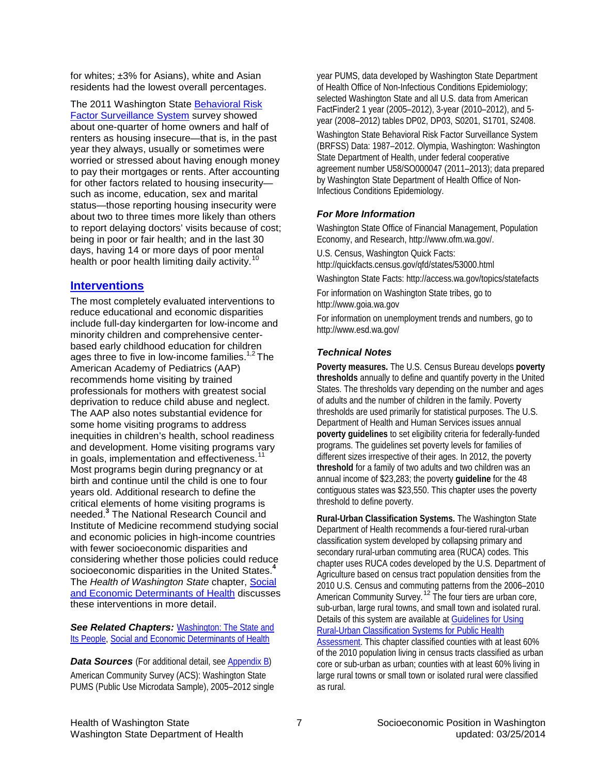for whites; ±3% for Asians), white and Asian residents had the lowest overall percentages.

The 2011 Washington State [Behavioral Risk](http://www.doh.wa.gov/Portals/1/Documents/5500/AppB.pdf)  [Factor Surveillance System](http://www.doh.wa.gov/Portals/1/Documents/5500/AppB.pdf) survey showed about one-quarter of home owners and half of renters as housing insecure—that is, in the past year they always, usually or sometimes were worried or stressed about having enough money to pay their mortgages or rents. After accounting for other factors related to housing insecurity such as income, education, sex and marital status—those reporting housing insecurity were about two to three times more likely than others to report delaying doctors' visits because of cost; being in poor or fair health; and in the last 30 days, having 14 or more days of poor mental health or poor health limiting daily activity.<sup>[10](#page-7-11)</sup>

# **[Interventions](http://www.doh.wa.gov/Portals/1/Documents/5500/AppA.pdf)**

The most completely evaluated interventions to reduce educational and economic disparities include full-day kindergarten for low-income and minority children and comprehensive centerbased early childhood education for children ages three to five in low-income families.<sup>[1,2](#page-7-10)</sup> The American Academy of Pediatrics (AAP) recommends home visiting by trained professionals for mothers with greatest social deprivation to reduce child abuse and neglect. The AAP also notes substantial evidence for some home visiting programs to address inequities in children's health, school readiness and development. Home visiting programs vary in goals, implementation and effectiveness.<sup>[11](#page-7-12)</sup> Most programs begin during pregnancy or at birth and continue until the child is one to four years old. Additional research to define the critical elements of home visiting programs is needed. **[3](#page-0-2)** The National Research Council and Institute of Medicine recommend studying social and economic policies in high-income countries with fewer socioeconomic disparities and considering whether those policies could redu[ce](#page-7-10)  socioeconomic disparities in the United States.**<sup>4</sup>** The *Health of Washington State* chapter, [Social](http://www.doh.wa.gov/Portals/1/Documents/5500/Context-SED2013.pdf)  [and Economic Determinants of Health](http://www.doh.wa.gov/Portals/1/Documents/5500/Context-SED2013.pdf) discusses these interventions in more detail.

**See Related Chapters: [Washington: The State and](http://www.doh.wa.gov/Portals/1/Documents/5500/Context-State2012.pdf)** *State and* [Its People,](http://www.doh.wa.gov/Portals/1/Documents/5500/Context-State2012.pdf) [Social and Economic Determinants of Health](http://www.doh.wa.gov/Portals/1/Documents/5500/Context-SED2013.pdf)

**Data Sources** (For additional detail, see **Appendix B)** American Community Survey (ACS): Washington State PUMS (Public Use Microdata Sample), 2005–2012 single year PUMS, data developed by Washington State Department of Health Office of Non-Infectious Conditions Epidemiology; selected Washington State and all U.S. data from American FactFinder2 1 year (2005–2012), 3-year (2010–2012), and 5 year (2008–2012) tables DP02, DP03, S0201, S1701, S2408.

Washington State Behavioral Risk Factor Surveillance System (BRFSS) Data: 1987–2012. Olympia, Washington: Washington State Department of Health, under federal cooperative agreement number U58/SO000047 (2011–2013); data prepared by Washington State Department of Health Office of Non-Infectious Conditions Epidemiology.

## *For More Information*

Washington State Office of Financial Management, Population Economy, and Research, http://www.ofm.wa.gov/.

U.S. Census, Washington Quick Facts:

http://quickfacts.census.gov/qfd/states/53000.html

Washington State Facts: http://access.wa.gov/topics/statefacts

For information on Washington State tribes, go to http://www.goia.wa.gov

For information on unemployment trends and numbers, go to http://www.esd.wa.gov/

#### <span id="page-6-0"></span>*Technical Notes*

**Poverty measures.** The U.S. Census Bureau develops **poverty thresholds** annually to define and quantify poverty in the United States. The thresholds vary depending on the number and ages of adults and the number of children in the family. Poverty thresholds are used primarily for statistical purposes. The U.S. Department of Health and Human Services issues annual **poverty guidelines** to set eligibility criteria for federally-funded programs. The guidelines set poverty levels for families of different sizes irrespective of their ages. In 2012, the poverty **threshold** for a family of two adults and two children was an annual income of \$23,283; the poverty **guideline** for the 48 contiguous states was \$23,550. This chapter uses the poverty threshold to define poverty.

<span id="page-6-1"></span>**Rural-Urban Classification Systems.** The Washington State Department of Health recommends a four-tiered rural-urban classification system developed by collapsing primary and secondary rural-urban commuting area (RUCA) codes. This chapter uses RUCA codes developed by the U.S. Department of Agriculture based on census tract population densities from the 2010 U.S. Census and commuting patterns from the 2006–2010 American Community Survey.<sup>[12](#page-7-13)</sup> The four tiers are urban core, sub-urban, large rural towns, and small town and isolated rural. Details of this system are available a[t Guidelines for Using](http://www.doh.wa.gov/Portals/1/Documents/5500/RuralUrbGuide.pdf)  Rural-Urban Classification [Systems for Public Health](http://www.doh.wa.gov/Portals/1/Documents/5500/RuralUrbGuide.pdf)  [Assessment.](http://www.doh.wa.gov/Portals/1/Documents/5500/RuralUrbGuide.pdf) This chapter classified counties with at least 60% of the 2010 population living in census tracts classified as urban core or sub-urban as urban; counties with at least 60% living in large rural towns or small town or isolated rural were classified as rural.